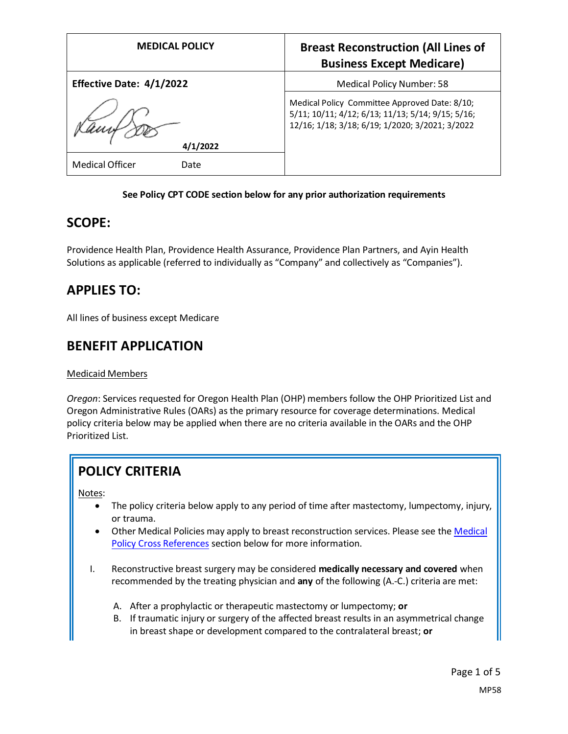| <b>MEDICAL POLICY</b>    | <b>Breast Reconstruction (All Lines of</b><br><b>Business Except Medicare)</b>                                                                        |
|--------------------------|-------------------------------------------------------------------------------------------------------------------------------------------------------|
| Effective Date: 4/1/2022 | <b>Medical Policy Number: 58</b>                                                                                                                      |
| 4/1/2022                 | Medical Policy Committee Approved Date: 8/10;<br>5/11; 10/11; 4/12; 6/13; 11/13; 5/14; 9/15; 5/16;<br>12/16; 1/18; 3/18; 6/19; 1/2020; 3/2021; 3/2022 |
| Medical Officer<br>Date  |                                                                                                                                                       |

#### **See Policy CPT CODE section below for any prior authorization requirements**

### **SCOPE:**

Providence Health Plan, Providence Health Assurance, Providence Plan Partners, and Ayin Health Solutions as applicable (referred to individually as "Company" and collectively as "Companies").

# **APPLIES TO:**

All lines of business except Medicare

### **BENEFIT APPLICATION**

#### Medicaid Members

*Oregon*: Services requested for Oregon Health Plan (OHP) members follow the OHP Prioritized List and Oregon Administrative Rules (OARs) as the primary resource for coverage determinations. Medical policy criteria below may be applied when there are no criteria available in the OARs and the OHP Prioritized List.

# **POLICY CRITERIA**

Notes:

- The policy criteria below apply to any period of time after mastectomy, lumpectomy, injury, or trauma.
- Other Medical Policies may apply to breast reconstruction services. Please see the Medical [Policy Cross References](#page-4-0) section below for more information.
- I. Reconstructive breast surgery may be considered **medically necessary and covered** when recommended by the treating physician and **any** of the following (A.-C.) criteria are met:
	- A. After a prophylactic or therapeutic mastectomy or lumpectomy; **or**
	- B. If traumatic injury or surgery of the affected breast results in an asymmetrical change in breast shape or development compared to the contralateral breast; **or**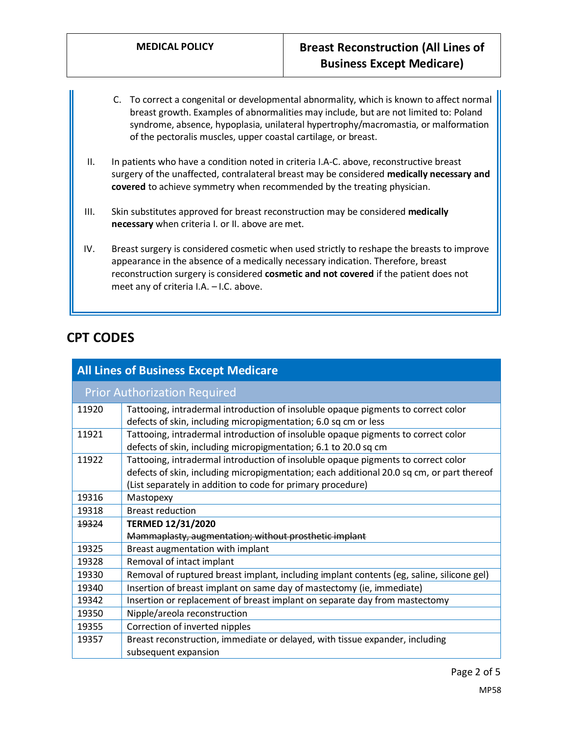- C. To correct a congenital or developmental abnormality, which is known to affect normal breast growth. Examples of abnormalities may include, but are not limited to: Poland syndrome, absence, hypoplasia, unilateral hypertrophy/macromastia, or malformation of the pectoralis muscles, upper coastal cartilage, or breast.
- II. In patients who have a condition noted in criteria I.A-C. above, reconstructive breast surgery of the unaffected, contralateral breast may be considered **medically necessary and covered** to achieve symmetry when recommended by the treating physician.
- III. Skin substitutes approved for breast reconstruction may be considered **medically necessary** when criteria I. or II. above are met.
- IV. Breast surgery is considered cosmetic when used strictly to reshape the breasts to improve appearance in the absence of a medically necessary indication. Therefore, breast reconstruction surgery is considered **cosmetic and not covered** if the patient does not meet any of criteria I.A. – I.C. above.

# **CPT CODES**

| <b>All Lines of Business Except Medicare</b> |                                                                                                                                                                                                                                               |
|----------------------------------------------|-----------------------------------------------------------------------------------------------------------------------------------------------------------------------------------------------------------------------------------------------|
| <b>Prior Authorization Required</b>          |                                                                                                                                                                                                                                               |
| 11920                                        | Tattooing, intradermal introduction of insoluble opaque pigments to correct color<br>defects of skin, including micropigmentation; 6.0 sq cm or less                                                                                          |
| 11921                                        | Tattooing, intradermal introduction of insoluble opaque pigments to correct color<br>defects of skin, including micropigmentation; 6.1 to 20.0 sq cm                                                                                          |
| 11922                                        | Tattooing, intradermal introduction of insoluble opaque pigments to correct color<br>defects of skin, including micropigmentation; each additional 20.0 sq cm, or part thereof<br>(List separately in addition to code for primary procedure) |
| 19316                                        | Mastopexy                                                                                                                                                                                                                                     |
| 19318                                        | <b>Breast reduction</b>                                                                                                                                                                                                                       |
| 19324                                        | <b>TERMED 12/31/2020</b>                                                                                                                                                                                                                      |
|                                              | Mammaplasty, augmentation; without prosthetic implant                                                                                                                                                                                         |
| 19325                                        | Breast augmentation with implant                                                                                                                                                                                                              |
| 19328                                        | Removal of intact implant                                                                                                                                                                                                                     |
| 19330                                        | Removal of ruptured breast implant, including implant contents (eg, saline, silicone gel)                                                                                                                                                     |
| 19340                                        | Insertion of breast implant on same day of mastectomy (ie, immediate)                                                                                                                                                                         |
| 19342                                        | Insertion or replacement of breast implant on separate day from mastectomy                                                                                                                                                                    |
| 19350                                        | Nipple/areola reconstruction                                                                                                                                                                                                                  |
| 19355                                        | Correction of inverted nipples                                                                                                                                                                                                                |
| 19357                                        | Breast reconstruction, immediate or delayed, with tissue expander, including<br>subsequent expansion                                                                                                                                          |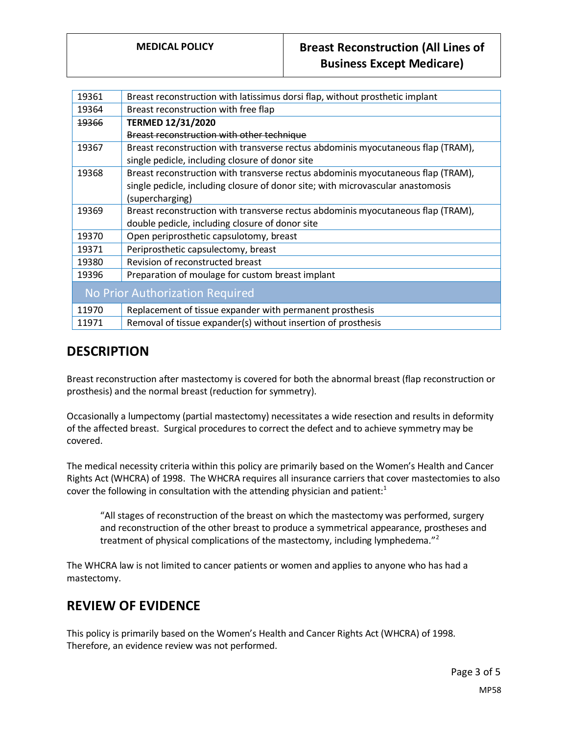# **MEDICAL POLICY Breast Reconstruction (All Lines of Business Except Medicare)**

| 19361                           | Breast reconstruction with latissimus dorsi flap, without prosthetic implant     |
|---------------------------------|----------------------------------------------------------------------------------|
| 19364                           | Breast reconstruction with free flap                                             |
| <del>19366</del>                | <b>TERMED 12/31/2020</b>                                                         |
|                                 | Breast reconstruction with other technique                                       |
| 19367                           | Breast reconstruction with transverse rectus abdominis myocutaneous flap (TRAM), |
|                                 | single pedicle, including closure of donor site                                  |
| 19368                           | Breast reconstruction with transverse rectus abdominis myocutaneous flap (TRAM), |
|                                 | single pedicle, including closure of donor site; with microvascular anastomosis  |
|                                 | (supercharging)                                                                  |
| 19369                           | Breast reconstruction with transverse rectus abdominis myocutaneous flap (TRAM), |
|                                 | double pedicle, including closure of donor site                                  |
| 19370                           | Open periprosthetic capsulotomy, breast                                          |
| 19371                           | Periprosthetic capsulectomy, breast                                              |
| 19380                           | Revision of reconstructed breast                                                 |
| 19396                           | Preparation of moulage for custom breast implant                                 |
| No Prior Authorization Required |                                                                                  |
| 11970                           | Replacement of tissue expander with permanent prosthesis                         |
| 11971                           | Removal of tissue expander(s) without insertion of prosthesis                    |
|                                 |                                                                                  |

# **DESCRIPTION**

Breast reconstruction after mastectomy is covered for both the abnormal breast (flap reconstruction or prosthesis) and the normal breast (reduction for symmetry).

Occasionally a lumpectomy (partial mastectomy) necessitates a wide resection and results in deformity of the affected breast. Surgical procedures to correct the defect and to achieve symmetry may be covered.

The medical necessity criteria within this policy are primarily based on the Women's Health and Cancer Rights Act (WHCRA) of 1998. The WHCRA requires all insurance carriers that cover mastectomies to also cover the following in consultation with the attending physician and patient: $1$ 

"All stages of reconstruction of the breast on which the mastectomy was performed, surgery and reconstruction of the other breast to produce a symmetrical appearance, prostheses and treatment of physical complications of the mastectomy, including lymphedema."<sup>2</sup>

The WHCRA law is not limited to cancer patients or women and applies to anyone who has had a mastectomy.

### **REVIEW OF EVIDENCE**

This policy is primarily based on the Women's Health and Cancer Rights Act (WHCRA) of 1998. Therefore, an evidence review was not performed.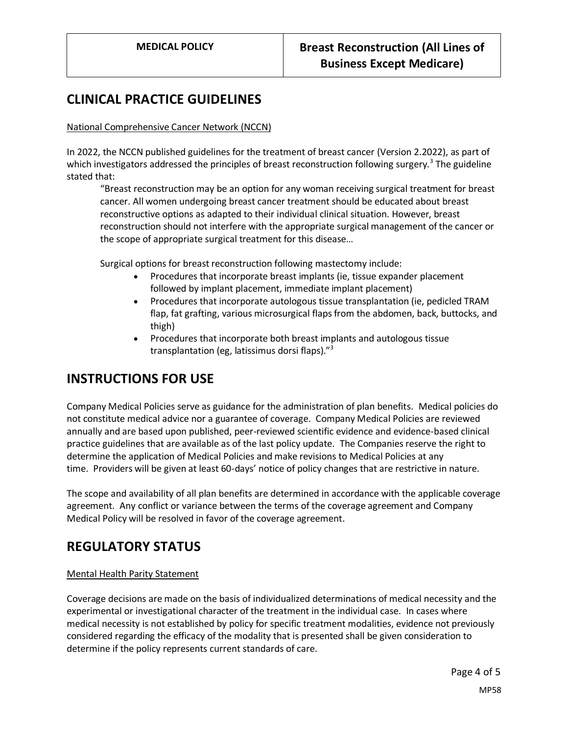## **CLINICAL PRACTICE GUIDELINES**

#### National Comprehensive Cancer Network (NCCN)

In 2022, the NCCN published guidelines for the treatment of breast cancer (Version 2.2022), as part of which investigators addressed the principles of breast reconstruction following surgery.<sup>3</sup> The guideline stated that:

"Breast reconstruction may be an option for any woman receiving surgical treatment for breast cancer. All women undergoing breast cancer treatment should be educated about breast reconstructive options as adapted to their individual clinical situation. However, breast reconstruction should not interfere with the appropriate surgical management of the cancer or the scope of appropriate surgical treatment for this disease…

Surgical options for breast reconstruction following mastectomy include:

- Procedures that incorporate breast implants (ie, tissue expander placement followed by implant placement, immediate implant placement)
- Procedures that incorporate autologous tissue transplantation (ie, pedicled TRAM flap, fat grafting, various microsurgical flaps from the abdomen, back, buttocks, and thigh)
- Procedures that incorporate both breast implants and autologous tissue transplantation (eg, latissimus dorsi flaps)."<sup>3</sup>

### **INSTRUCTIONS FOR USE**

Company Medical Policies serve as guidance for the administration of plan benefits. Medical policies do not constitute medical advice nor a guarantee of coverage. Company Medical Policies are reviewed annually and are based upon published, peer-reviewed scientific evidence and evidence-based clinical practice guidelines that are available as of the last policy update. The Companies reserve the right to determine the application of Medical Policies and make revisions to Medical Policies at any time. Providers will be given at least 60-days' notice of policy changes that are restrictive in nature.

The scope and availability of all plan benefits are determined in accordance with the applicable coverage agreement. Any conflict or variance between the terms of the coverage agreement and Company Medical Policy will be resolved in favor of the coverage agreement.

# **REGULATORY STATUS**

#### Mental Health Parity Statement

Coverage decisions are made on the basis of individualized determinations of medical necessity and the experimental or investigational character of the treatment in the individual case. In cases where medical necessity is not established by policy for specific treatment modalities, evidence not previously considered regarding the efficacy of the modality that is presented shall be given consideration to determine if the policy represents current standards of care.